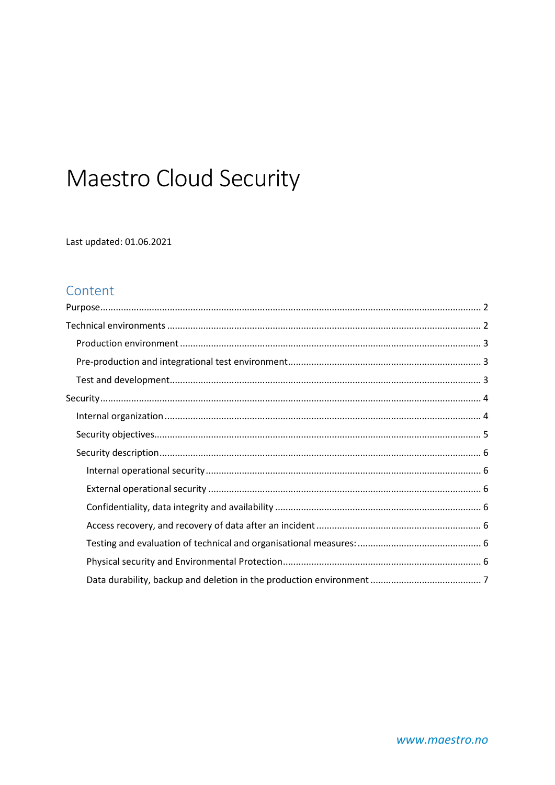# Maestro Cloud Security

Last updated: 01.06.2021

# Content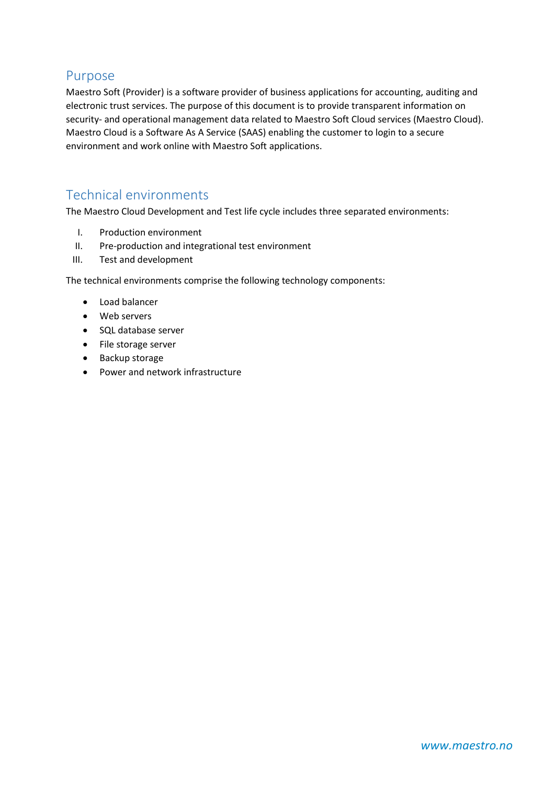# <span id="page-1-0"></span>Purpose

Maestro Soft (Provider) is a software provider of business applications for accounting, auditing and electronic trust services. The purpose of this document is to provide transparent information on security- and operational management data related to Maestro Soft Cloud services (Maestro Cloud). Maestro Cloud is a Software As A Service (SAAS) enabling the customer to login to a secure environment and work online with Maestro Soft applications.

# <span id="page-1-1"></span>Technical environments

The Maestro Cloud Development and Test life cycle includes three separated environments:

- I. Production environment
- II. Pre-production and integrational test environment
- III. Test and development

The technical environments comprise the following technology components:

- Load balancer
- Web servers
- SQL database server
- File storage server
- Backup storage
- Power and network infrastructure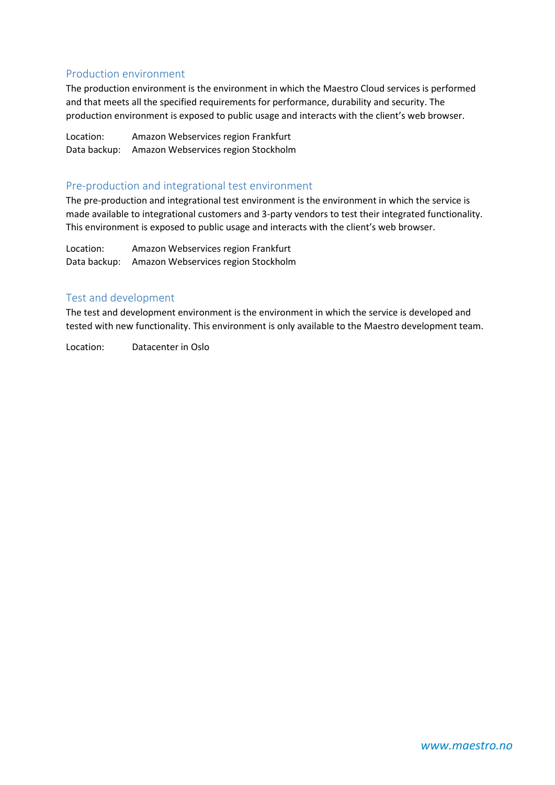## <span id="page-2-0"></span>Production environment

The production environment is the environment in which the Maestro Cloud services is performed and that meets all the specified requirements for performance, durability and security. The production environment is exposed to public usage and interacts with the client's web browser.

Location: Amazon Webservices region Frankfurt Data backup: Amazon Webservices region Stockholm

# <span id="page-2-1"></span>Pre-production and integrational test environment

The pre-production and integrational test environment is the environment in which the service is made available to integrational customers and 3-party vendors to test their integrated functionality. This environment is exposed to public usage and interacts with the client's web browser.

Location: Amazon Webservices region Frankfurt Data backup: Amazon Webservices region Stockholm

## <span id="page-2-2"></span>Test and development

The test and development environment is the environment in which the service is developed and tested with new functionality. This environment is only available to the Maestro development team.

Location: Datacenter in Oslo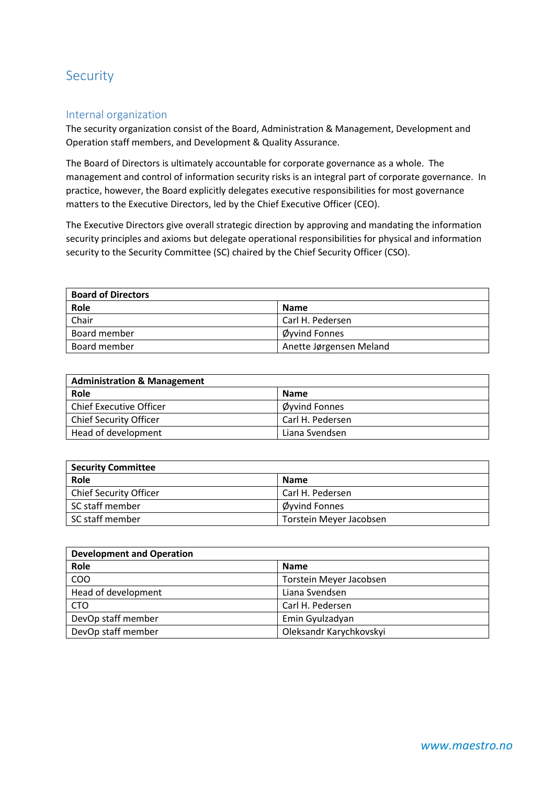# <span id="page-3-0"></span>Security

# <span id="page-3-1"></span>Internal organization

The security organization consist of the Board, Administration & Management, Development and Operation staff members, and Development & Quality Assurance.

The Board of Directors is ultimately accountable for corporate governance as a whole. The management and control of information security risks is an integral part of corporate governance. In practice, however, the Board explicitly delegates executive responsibilities for most governance matters to the Executive Directors, led by the Chief Executive Officer (CEO).

The Executive Directors give overall strategic direction by approving and mandating the information security principles and axioms but delegate operational responsibilities for physical and information security to the Security Committee (SC) chaired by the Chief Security Officer (CSO).

| <b>Board of Directors</b> |                         |  |
|---------------------------|-------------------------|--|
| Role                      | <b>Name</b>             |  |
| Chair                     | Carl H. Pedersen        |  |
| Board member              | Øyvind Fonnes           |  |
| Board member              | Anette Jørgensen Meland |  |

| <b>Administration &amp; Management</b> |                  |  |
|----------------------------------------|------------------|--|
| Role                                   | <b>Name</b>      |  |
| <b>Chief Executive Officer</b>         | Øyvind Fonnes    |  |
| <b>Chief Security Officer</b>          | Carl H. Pedersen |  |
| Head of development                    | Liana Svendsen   |  |

| <b>Security Committee</b>     |                         |  |
|-------------------------------|-------------------------|--|
| Role                          | <b>Name</b>             |  |
| <b>Chief Security Officer</b> | Carl H. Pedersen        |  |
| SC staff member               | Øyvind Fonnes           |  |
| SC staff member               | Torstein Meyer Jacobsen |  |

| <b>Development and Operation</b> |                         |  |
|----------------------------------|-------------------------|--|
| Role                             | <b>Name</b>             |  |
| COO                              | Torstein Meyer Jacobsen |  |
| Head of development              | Liana Svendsen          |  |
| <b>CTO</b>                       | Carl H. Pedersen        |  |
| DevOp staff member               | Emin Gyulzadyan         |  |
| DevOp staff member               | Oleksandr Karychkovskyi |  |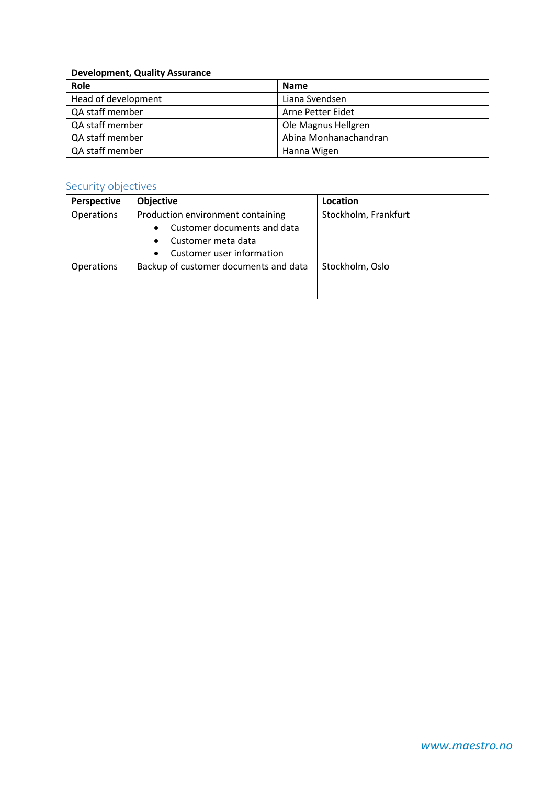| <b>Development, Quality Assurance</b> |                       |  |
|---------------------------------------|-----------------------|--|
| Role                                  | <b>Name</b>           |  |
| Head of development                   | Liana Svendsen        |  |
| QA staff member                       | Arne Petter Eidet     |  |
| QA staff member                       | Ole Magnus Hellgren   |  |
| QA staff member                       | Abina Monhanachandran |  |
| QA staff member                       | Hanna Wigen           |  |

# <span id="page-4-0"></span>Security objectives

| Perspective | <b>Objective</b>                                                                                                                 | Location             |
|-------------|----------------------------------------------------------------------------------------------------------------------------------|----------------------|
| Operations  | Production environment containing<br>Customer documents and data<br>Customer meta data<br>Customer user information<br>$\bullet$ | Stockholm, Frankfurt |
| Operations  | Backup of customer documents and data                                                                                            | Stockholm, Oslo      |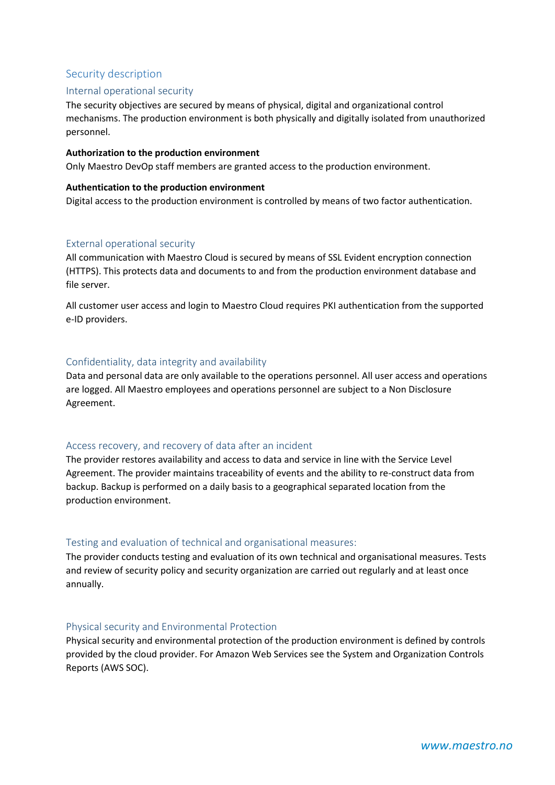# <span id="page-5-0"></span>Security description

## <span id="page-5-1"></span>Internal operational security

The security objectives are secured by means of physical, digital and organizational control mechanisms. The production environment is both physically and digitally isolated from unauthorized personnel.

#### **Authorization to the production environment**

Only Maestro DevOp staff members are granted access to the production environment.

#### **Authentication to the production environment**

Digital access to the production environment is controlled by means of two factor authentication.

### <span id="page-5-2"></span>External operational security

All communication with Maestro Cloud is secured by means of SSL Evident encryption connection (HTTPS). This protects data and documents to and from the production environment database and file server.

All customer user access and login to Maestro Cloud requires PKI authentication from the supported e-ID providers.

## <span id="page-5-3"></span>Confidentiality, data integrity and availability

Data and personal data are only available to the operations personnel. All user access and operations are logged. All Maestro employees and operations personnel are subject to a Non Disclosure Agreement.

### <span id="page-5-4"></span>Access recovery, and recovery of data after an incident

The provider restores availability and access to data and service in line with the Service Level Agreement. The provider maintains traceability of events and the ability to re-construct data from backup. Backup is performed on a daily basis to a geographical separated location from the production environment.

### <span id="page-5-5"></span>Testing and evaluation of technical and organisational measures:

The provider conducts testing and evaluation of its own technical and organisational measures. Tests and review of security policy and security organization are carried out regularly and at least once annually.

### <span id="page-5-6"></span>Physical security and Environmental Protection

Physical security and environmental protection of the production environment is defined by controls provided by the cloud provider. For Amazon Web Services see the System and Organization Controls Reports (AWS SOC).